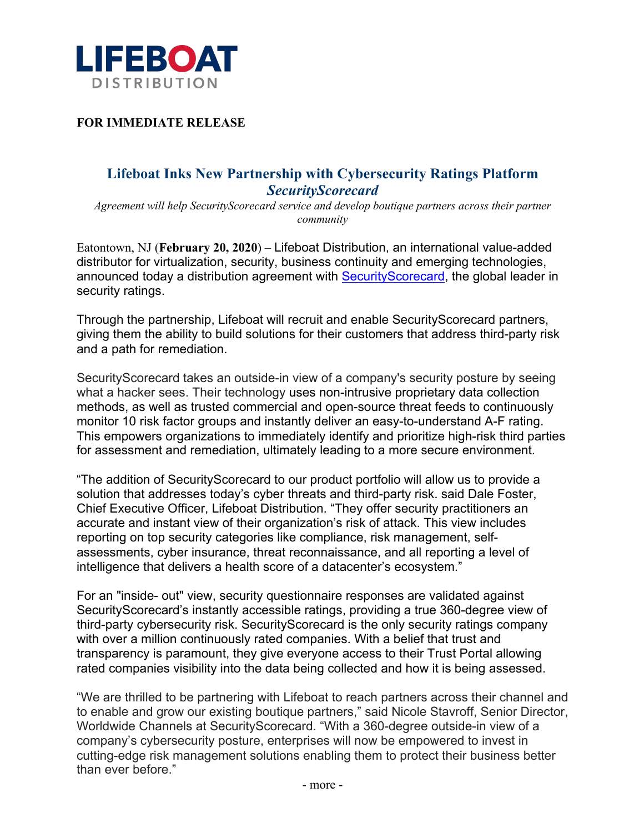

**FOR IMMEDIATE RELEASE**

## **Lifeboat Inks New Partnership with Cybersecurity Ratings Platform**  *SecurityScorecard*

*Agreement will help SecurityScorecard service and develop boutique partners across their partner community*

Eatontown, NJ (**February 20, 2020**) – Lifeboat Distribution, an international value-added distributor for virtualization, security, business continuity and emerging technologies, announced today a distribution agreement with SecurityScorecard, the global leader in security ratings.

Through the partnership, Lifeboat will recruit and enable SecurityScorecard partners, giving them the ability to build solutions for their customers that address third-party risk and a path for remediation.

SecurityScorecard takes an outside-in view of a company's security posture by seeing what a hacker sees. Their technology uses non-intrusive proprietary data collection methods, as well as trusted commercial and open-source threat feeds to continuously monitor 10 risk factor groups and instantly deliver an easy-to-understand A-F rating. This empowers organizations to immediately identify and prioritize high-risk third parties for assessment and remediation, ultimately leading to a more secure environment.

"The addition of SecurityScorecard to our product portfolio will allow us to provide a solution that addresses today's cyber threats and third-party risk. said Dale Foster, Chief Executive Officer, Lifeboat Distribution. "They offer security practitioners an accurate and instant view of their organization's risk of attack. This view includes reporting on top security categories like compliance, risk management, selfassessments, cyber insurance, threat reconnaissance, and all reporting a level of intelligence that delivers a health score of a datacenter's ecosystem."

For an "inside- out" view, security questionnaire responses are validated against SecurityScorecard's instantly accessible ratings, providing a true 360-degree view of third-party cybersecurity risk. SecurityScorecard is the only security ratings company with over a million continuously rated companies. With a belief that trust and transparency is paramount, they give everyone access to their Trust Portal allowing rated companies visibility into the data being collected and how it is being assessed.

"We are thrilled to be partnering with Lifeboat to reach partners across their channel and to enable and grow our existing boutique partners," said Nicole Stavroff, Senior Director, Worldwide Channels at SecurityScorecard. "With a 360-degree outside-in view of a company's cybersecurity posture, enterprises will now be empowered to invest in cutting-edge risk management solutions enabling them to protect their business better than ever before."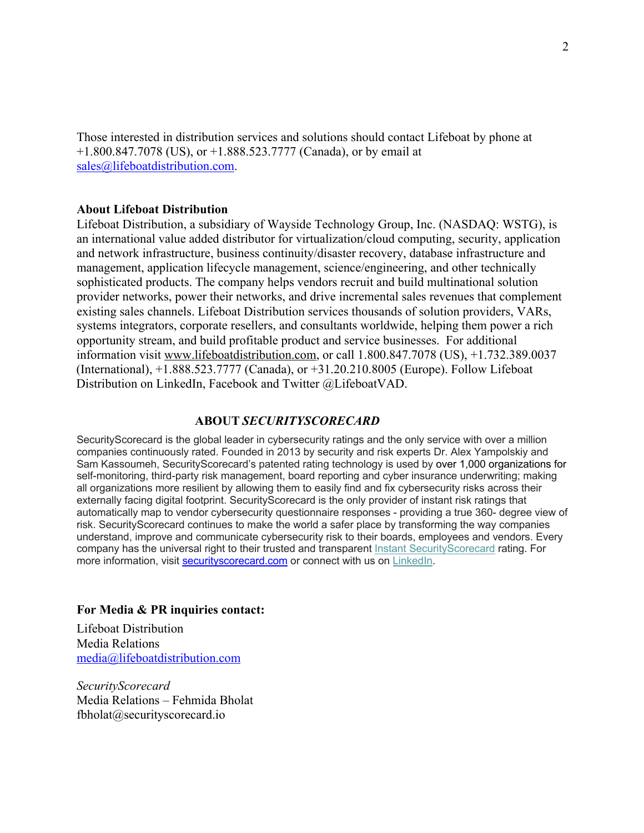Those interested in distribution services and solutions should contact Lifeboat by phone at  $+1.800.847.7078$  (US), or  $+1.888.523.7777$  (Canada), or by email at sales@lifeboatdistribution.com.

## **About Lifeboat Distribution**

Lifeboat Distribution, a subsidiary of Wayside Technology Group, Inc. (NASDAQ: WSTG), is an international value added distributor for virtualization/cloud computing, security, application and network infrastructure, business continuity/disaster recovery, database infrastructure and management, application lifecycle management, science/engineering, and other technically sophisticated products. The company helps vendors recruit and build multinational solution provider networks, power their networks, and drive incremental sales revenues that complement existing sales channels. Lifeboat Distribution services thousands of solution providers, VARs, systems integrators, corporate resellers, and consultants worldwide, helping them power a rich opportunity stream, and build profitable product and service businesses. For additional information visit www.lifeboatdistribution.com, or call 1.800.847.7078 (US), +1.732.389.0037 (International), +1.888.523.7777 (Canada), or +31.20.210.8005 (Europe). Follow Lifeboat Distribution on LinkedIn, Facebook and Twitter @LifeboatVAD.

## **ABOUT** *SECURITYSCORECARD*

SecurityScorecard is the global leader in cybersecurity ratings and the only service with over a million companies continuously rated. Founded in 2013 by security and risk experts Dr. Alex Yampolskiy and Sam Kassoumeh, SecurityScorecard's patented rating technology is used by over 1,000 organizations for self-monitoring, third-party risk management, board reporting and cyber insurance underwriting; making all organizations more resilient by allowing them to easily find and fix cybersecurity risks across their externally facing digital footprint. SecurityScorecard is the only provider of instant risk ratings that automatically map to vendor cybersecurity questionnaire responses - providing a true 360- degree view of risk. SecurityScorecard continues to make the world a safer place by transforming the way companies understand, improve and communicate cybersecurity risk to their boards, employees and vendors. Every company has the universal right to their trusted and transparent Instant SecurityScorecard rating. For more information, visit securityscorecard.com or connect with us on LinkedIn.

## **For Media & PR inquiries contact:**

Lifeboat Distribution Media Relations media@lifeboatdistribution.com

*SecurityScorecard* Media Relations – Fehmida Bholat fbholat@securityscorecard.io